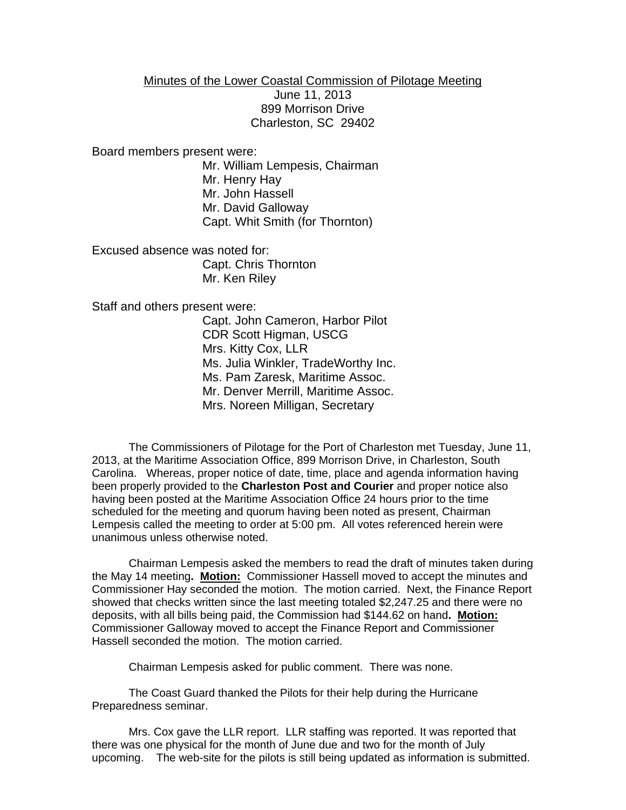## Minutes of the Lower Coastal Commission of Pilotage Meeting

June 11, 2013 899 Morrison Drive Charleston, SC 29402

Board members present were:

Mr. William Lempesis, Chairman Mr. Henry Hay Mr. John Hassell Mr. David Galloway Capt. Whit Smith (for Thornton)

Excused absence was noted for: Capt. Chris Thornton Mr. Ken Riley

Staff and others present were:

Capt. John Cameron, Harbor Pilot CDR Scott Higman, USCG Mrs. Kitty Cox, LLR Ms. Julia Winkler, TradeWorthy Inc. Ms. Pam Zaresk, Maritime Assoc. Mr. Denver Merrill, Maritime Assoc. Mrs. Noreen Milligan, Secretary

The Commissioners of Pilotage for the Port of Charleston met Tuesday, June 11, 2013, at the Maritime Association Office, 899 Morrison Drive, in Charleston, South Carolina. Whereas, proper notice of date, time, place and agenda information having been properly provided to the **Charleston Post and Courier** and proper notice also having been posted at the Maritime Association Office 24 hours prior to the time scheduled for the meeting and quorum having been noted as present, Chairman Lempesis called the meeting to order at 5:00 pm. All votes referenced herein were unanimous unless otherwise noted.

Chairman Lempesis asked the members to read the draft of minutes taken during the May 14 meeting**. Motion:** Commissioner Hassell moved to accept the minutes and Commissioner Hay seconded the motion. The motion carried. Next, the Finance Report showed that checks written since the last meeting totaled \$2,247.25 and there were no deposits, with all bills being paid, the Commission had \$144.62 on hand**. Motion:** Commissioner Galloway moved to accept the Finance Report and Commissioner Hassell seconded the motion. The motion carried.

Chairman Lempesis asked for public comment. There was none.

The Coast Guard thanked the Pilots for their help during the Hurricane Preparedness seminar.

Mrs. Cox gave the LLR report. LLR staffing was reported. It was reported that there was one physical for the month of June due and two for the month of July upcoming. The web-site for the pilots is still being updated as information is submitted.